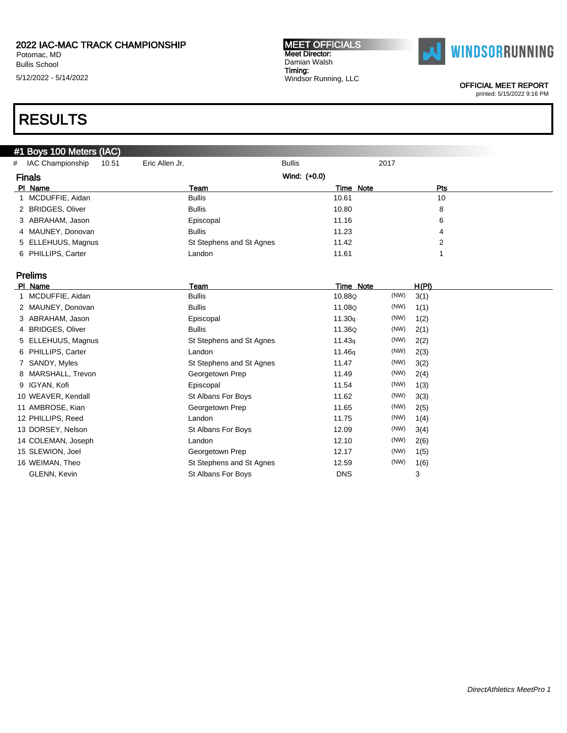Potomac, MD Bullis School

5/12/2022 - 5/14/2022

#### MEET OFFICIALS Meet Director: Damian Walsh Timing: Windsor Running, LLC



OFFICIAL MEET REPORT

printed: 5/15/2022 9:16 PM

# RESULTS

### #1 Boys 100 Meters (IAC)

| # IAC Championship<br>10.51 | Eric Allen Jr.           | <b>Bullis</b> | 2017       |  |
|-----------------------------|--------------------------|---------------|------------|--|
| <b>Finals</b>               |                          | Wind: (+0.0)  |            |  |
| PI Name                     | Team                     | Time Note     | <b>Pts</b> |  |
| 1 MCDUFFIE, Aidan           | <b>Bullis</b>            | 10.61         | 10         |  |
| 2 BRIDGES, Oliver           | <b>Bullis</b>            | 10.80         | 8          |  |
| 3 ABRAHAM, Jason            | Episcopal                | 11.16         | 6          |  |
| 4 MAUNEY, Donovan           | <b>Bullis</b>            | 11.23         | 4          |  |
| 5 ELLEHUUS, Magnus          | St Stephens and St Agnes | 11.42         | 2          |  |
| 6 PHILLIPS, Carter          | Landon                   | 11.61         |            |  |
|                             |                          |               |            |  |

## Prelims

| PI Name            | Team                      | Time Note          |      | H(PI) |
|--------------------|---------------------------|--------------------|------|-------|
| MCDUFFIE, Aidan    | <b>Bullis</b>             | 10.88Q             | (NW) | 3(1)  |
| 2 MAUNEY, Donovan  | <b>Bullis</b>             | 11.08Q             | (NW) | 1(1)  |
| 3 ABRAHAM, Jason   | Episcopal                 | 11.30q             | (NW) | 1(2)  |
| 4 BRIDGES, Oliver  | <b>Bullis</b>             | 11.36Q             | (NW) | 2(1)  |
| 5 ELLEHUUS, Magnus | St Stephens and St Agnes  | 11.43q             | (NW) | 2(2)  |
| 6 PHILLIPS, Carter | Landon                    | 11.46 <sub>g</sub> | (NW) | 2(3)  |
| 7 SANDY, Myles     | St Stephens and St Agnes  | 11.47              | (NW) | 3(2)  |
| 8 MARSHALL, Trevon | Georgetown Prep           | 11.49              | (NW) | 2(4)  |
| 9 IGYAN, Kofi      | Episcopal                 | 11.54              | (NW) | 1(3)  |
| 10 WEAVER, Kendall | St Albans For Boys        | 11.62              | (NW) | 3(3)  |
| 11 AMBROSE, Kian   | Georgetown Prep           | 11.65              | (NW) | 2(5)  |
| 12 PHILLIPS, Reed  | Landon                    | 11.75              | (NW) | 1(4)  |
| 13 DORSEY, Nelson  | St Albans For Boys        | 12.09              | (NW) | 3(4)  |
| 14 COLEMAN, Joseph | Landon                    | 12.10              | (NW) | 2(6)  |
| 15 SLEWION, Joel   | Georgetown Prep           | 12.17              | (NW) | 1(5)  |
| 16 WEIMAN, Theo    | St Stephens and St Agnes  | 12.59              | (NW) | 1(6)  |
| GLENN, Kevin       | <b>St Albans For Boys</b> | <b>DNS</b>         |      | 3     |
|                    |                           |                    |      |       |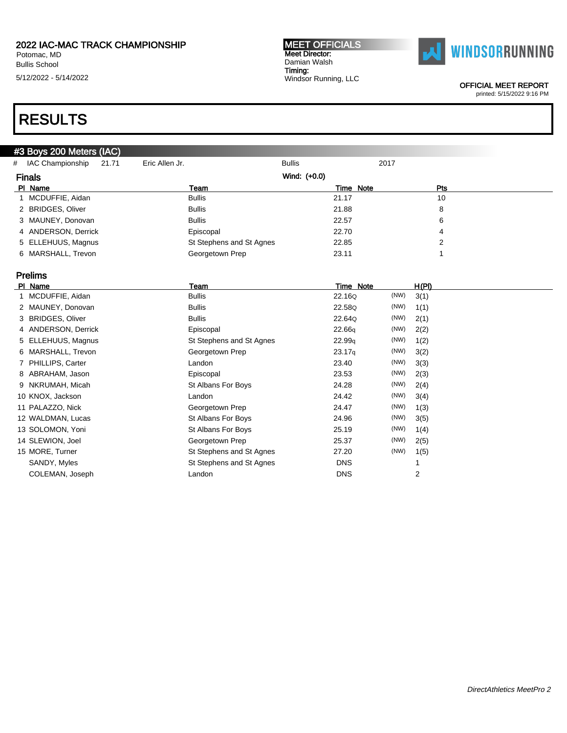Potomac, MD Bullis School

5/12/2022 - 5/14/2022

#### MEET OFFICIALS Meet Director: Damian Walsh Timing: Windsor Running, LLC



OFFICIAL MEET REPORT

printed: 5/15/2022 9:16 PM

# RESULTS

### #3 Boys 200 Meters (IAC)

| # IAC Championship<br>21.71 | Eric Allen Jr.           | <b>Bullis</b> | 2017       |  |
|-----------------------------|--------------------------|---------------|------------|--|
| <b>Finals</b>               |                          | Wind: (+0.0)  |            |  |
| PI Name                     | Team                     | Time Note     | <b>Pts</b> |  |
| 1 MCDUFFIE, Aidan           | <b>Bullis</b>            | 21.17         | 10         |  |
| 2 BRIDGES, Oliver           | <b>Bullis</b>            | 21.88         | 8          |  |
| 3 MAUNEY, Donovan           | <b>Bullis</b>            | 22.57         | 6          |  |
| 4 ANDERSON, Derrick         | Episcopal                | 22.70         | 4          |  |
| 5 ELLEHUUS, Magnus          | St Stephens and St Agnes | 22.85         |            |  |
| 6 MARSHALL, Trevon          | Georgetown Prep          | 23.11         |            |  |

### Prelims

| PI Name             | Team                     | Time Note          |      | H(PI)          |
|---------------------|--------------------------|--------------------|------|----------------|
| 1 MCDUFFIE, Aidan   | <b>Bullis</b>            | 22.16Q             | (NW) | 3(1)           |
| 2 MAUNEY, Donovan   | <b>Bullis</b>            | 22.58Q             | (NW) | 1(1)           |
| 3 BRIDGES, Oliver   | <b>Bullis</b>            | 22.64Q             | (NW) | 2(1)           |
| 4 ANDERSON, Derrick | Episcopal                | 22.66q             | (NW) | 2(2)           |
| 5 ELLEHUUS, Magnus  | St Stephens and St Agnes | 22.99q             | (NW) | 1(2)           |
| 6 MARSHALL, Trevon  | Georgetown Prep          | 23.17 <sub>q</sub> | (NW) | 3(2)           |
| 7 PHILLIPS, Carter  | Landon                   | 23.40              | (NW) | 3(3)           |
| 8 ABRAHAM, Jason    | Episcopal                | 23.53              | (NW) | 2(3)           |
| 9 NKRUMAH, Micah    | St Albans For Boys       | 24.28              | (NW) | 2(4)           |
| 10 KNOX, Jackson    | Landon                   | 24.42              | (NW) | 3(4)           |
| 11 PALAZZO, Nick    | Georgetown Prep          | 24.47              | (NW) | 1(3)           |
| 12 WALDMAN, Lucas   | St Albans For Boys       | 24.96              | (NW) | 3(5)           |
| 13 SOLOMON, Yoni    | St Albans For Boys       | 25.19              | (NW) | 1(4)           |
| 14 SLEWION, Joel    | Georgetown Prep          | 25.37              | (NW) | 2(5)           |
| 15 MORE, Turner     | St Stephens and St Agnes | 27.20              | (NW) | 1(5)           |
| SANDY, Myles        | St Stephens and St Agnes | <b>DNS</b>         |      |                |
| COLEMAN, Joseph     | Landon                   | <b>DNS</b>         |      | $\overline{2}$ |
|                     |                          |                    |      |                |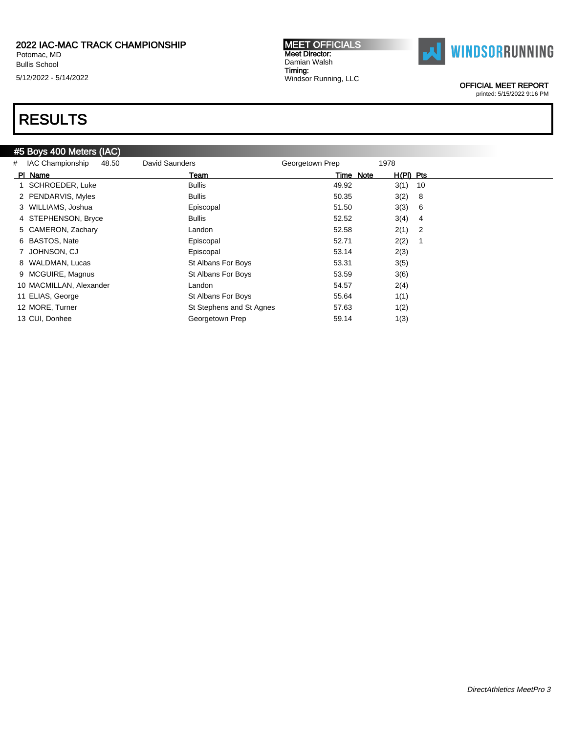Potomac, MD Bullis School 5/12/2022 - 5/14/2022

#### MEET OFFICIALS Meet Director: Damian Walsh Timing: Windsor Running, LLC



OFFICIAL MEET REPORT

printed: 5/15/2022 9:16 PM

# RESULTS

### #5 Boys 400 Meters (IAC)

| # | <b>IAC Championship</b><br>48.50 | David Saunders           | Georgetown Prep | 1978                   |  |
|---|----------------------------------|--------------------------|-----------------|------------------------|--|
|   | PI Name                          | Team                     | Time Note       | $H(PI)$ Pts            |  |
|   | SCHROEDER, Luke                  | <b>Bullis</b>            | 49.92           | $3(1)$ 10              |  |
|   | 2 PENDARVIS, Myles               | <b>Bullis</b>            | 50.35           | 3(2)<br>8              |  |
|   | 3 WILLIAMS, Joshua               | Episcopal                | 51.50           | 3(3)<br>6              |  |
|   | 4 STEPHENSON, Bryce              | <b>Bullis</b>            | 52.52           | 3(4)<br>$\overline{4}$ |  |
|   | 5 CAMERON, Zachary               | Landon                   | 52.58           | $2(1)$ 2               |  |
|   | 6 BASTOS, Nate                   | Episcopal                | 52.71           | 2(2)                   |  |
|   | 7 JOHNSON, CJ                    | Episcopal                | 53.14           | 2(3)                   |  |
|   | 8 WALDMAN, Lucas                 | St Albans For Boys       | 53.31           | 3(5)                   |  |
|   | 9 MCGUIRE, Magnus                | St Albans For Boys       | 53.59           | 3(6)                   |  |
|   | 10 MACMILLAN, Alexander          | Landon                   | 54.57           | 2(4)                   |  |
|   | 11 ELIAS, George                 | St Albans For Boys       | 55.64           | 1(1)                   |  |
|   | 12 MORE, Turner                  | St Stephens and St Agnes | 57.63           | 1(2)                   |  |
|   | 13 CUI, Donhee                   | Georgetown Prep          | 59.14           | 1(3)                   |  |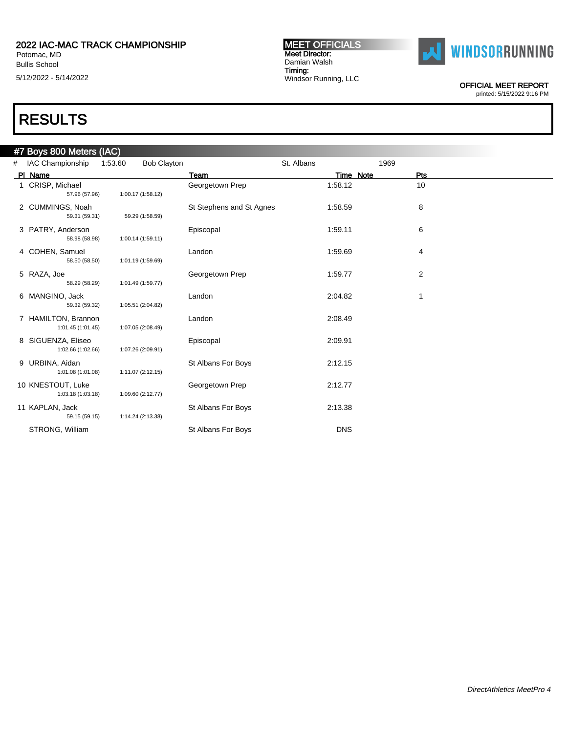Bullis School

5/12/2022 - 5/14/2022

#### MEET OFFICIALS Meet Director: Damian Walsh Timing: Windsor Running, LLC



OFFICIAL MEET REPORT

printed: 5/15/2022 9:16 PM

| #7 Boys 800 Meters (IAC) |  |  |
|--------------------------|--|--|
|--------------------------|--|--|

| # | <b>IAC Championship</b>                  | 1:53.60 | <b>Bob Clayton</b> |                          | St. Albans | 1969             |  |
|---|------------------------------------------|---------|--------------------|--------------------------|------------|------------------|--|
|   | PI Name                                  |         |                    | Team                     |            | Time Note<br>Pts |  |
|   | 1 CRISP, Michael<br>57.96 (57.96)        |         | 1:00.17 (1:58.12)  | Georgetown Prep          | 1:58.12    | 10               |  |
|   | 2 CUMMINGS, Noah<br>59.31 (59.31)        |         | 59.29 (1:58.59)    | St Stephens and St Agnes | 1:58.59    | 8                |  |
|   | 3 PATRY, Anderson<br>58.98 (58.98)       |         | 1:00.14 (1:59.11)  | Episcopal                | 1:59.11    | 6                |  |
|   | 4 COHEN, Samuel<br>58.50 (58.50)         |         | 1:01.19 (1:59.69)  | Landon                   | 1:59.69    | 4                |  |
|   | 5 RAZA, Joe<br>58.29 (58.29)             |         | 1:01.49 (1:59.77)  | Georgetown Prep          | 1:59.77    | 2                |  |
|   | 6 MANGINO, Jack<br>59.32 (59.32)         |         | 1:05.51 (2:04.82)  | Landon                   | 2:04.82    | 1                |  |
|   | 7 HAMILTON, Brannon<br>1:01.45 (1:01.45) |         | 1:07.05 (2:08.49)  | Landon                   | 2:08.49    |                  |  |
|   | 8 SIGUENZA, Eliseo<br>1:02.66 (1:02.66)  |         | 1:07.26 (2:09.91)  | Episcopal                | 2:09.91    |                  |  |
|   | 9 URBINA, Aidan<br>1:01.08 (1:01.08)     |         | 1:11.07 (2:12.15)  | St Albans For Boys       | 2:12.15    |                  |  |
|   | 10 KNESTOUT, Luke<br>1:03.18 (1:03.18)   |         | 1:09.60 (2:12.77)  | Georgetown Prep          | 2:12.77    |                  |  |
|   | 11 KAPLAN, Jack<br>59.15 (59.15)         |         | 1:14.24 (2:13.38)  | St Albans For Boys       | 2:13.38    |                  |  |
|   | STRONG, William                          |         |                    | St Albans For Boys       | <b>DNS</b> |                  |  |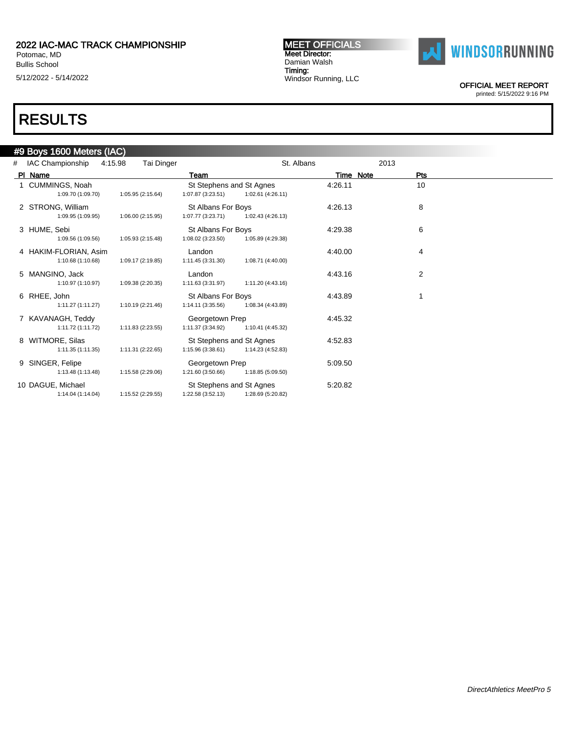Bullis School

5/12/2022 - 5/14/2022

#### MEET OFFICIALS Meet Director: Damian Walsh Timing: Windsor Running, LLC



OFFICIAL MEET REPORT

printed: 5/15/2022 9:16 PM

| # | IAC Championship<br>4:15.98                | Tai Dinger        |                                                | St. Albans        |           | 2013 |                |  |
|---|--------------------------------------------|-------------------|------------------------------------------------|-------------------|-----------|------|----------------|--|
|   | PI Name                                    |                   | Team                                           |                   | Time Note |      | Pts            |  |
|   | 1 CUMMINGS, Noah<br>1:09.70 (1:09.70)      | 1:05.95 (2:15.64) | St Stephens and St Agnes<br>1:07.87 (3:23.51)  | 1:02.61 (4:26.11) | 4:26.11   |      | 10             |  |
|   | 2 STRONG, William<br>1:09.95 (1:09.95)     | 1:06.00 (2:15.95) | <b>St Albans For Boys</b><br>1:07.77 (3:23.71) | 1:02.43 (4:26.13) | 4:26.13   |      | 8              |  |
|   | 3 HUME, Sebi<br>1:09.56 (1:09.56)          | 1:05.93 (2:15.48) | <b>St Albans For Boys</b><br>1:08.02 (3:23.50) | 1:05.89 (4:29.38) | 4:29.38   |      | 6              |  |
|   | 4 HAKIM-FLORIAN, Asim<br>1:10.68 (1:10.68) | 1:09.17 (2:19.85) | Landon<br>1:11.45 (3:31.30)                    | 1:08.71 (4:40.00) | 4:40.00   |      | 4              |  |
|   | 5 MANGINO, Jack<br>1:10.97 (1:10.97)       | 1:09.38 (2:20.35) | Landon<br>1:11.63 (3:31.97)                    | 1:11.20 (4:43.16) | 4:43.16   |      | $\overline{2}$ |  |
|   | 6 RHEE, John<br>1:11.27 (1:11.27)          | 1:10.19 (2:21.46) | St Albans For Boys<br>1:14.11 (3:35.56)        | 1:08.34 (4:43.89) | 4:43.89   |      |                |  |
|   | 7 KAVANAGH, Teddy<br>1:11.72 (1:11.72)     | 1:11.83 (2:23.55) | Georgetown Prep<br>1:11.37 (3:34.92)           | 1:10.41 (4:45.32) | 4:45.32   |      |                |  |
|   | 8 WITMORE, Silas<br>1:11.35(1:11.35)       | 1:11.31 (2:22.65) | St Stephens and St Agnes<br>1:15.96 (3:38.61)  | 1:14.23 (4:52.83) | 4:52.83   |      |                |  |
|   | 9 SINGER, Felipe<br>1:13.48 (1:13.48)      | 1:15.58 (2:29.06) | Georgetown Prep<br>1:21.60 (3:50.66)           | 1:18.85 (5:09.50) | 5:09.50   |      |                |  |
|   | 10 DAGUE, Michael<br>1:14.04 (1:14.04)     | 1:15.52 (2:29.55) | St Stephens and St Agnes<br>1:22.58 (3:52.13)  | 1:28.69 (5:20.82) | 5:20.82   |      |                |  |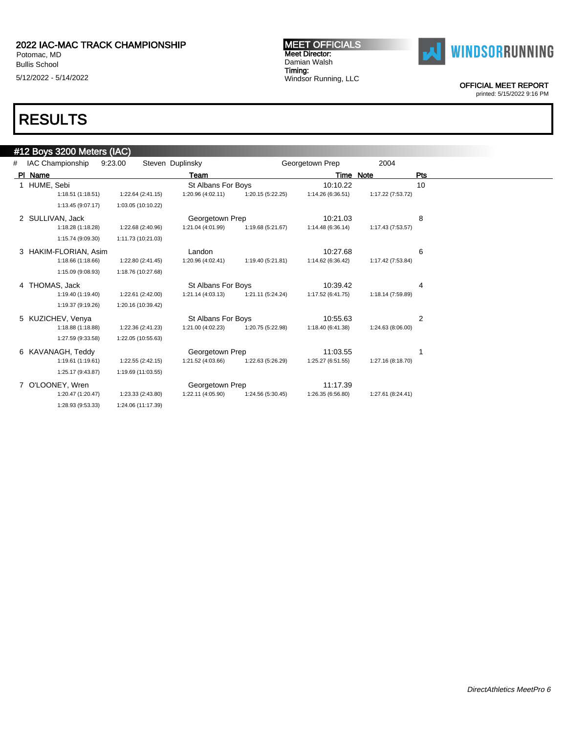Bullis School 5/12/2022 - 5/14/2022 MEET OFFICIALS Meet Director: Damian Walsh Timing: Windsor Running, LLC



OFFICIAL MEET REPORT

printed: 5/15/2022 9:16 PM

|   | #12 Boys 3200 Meters (IAC) |                    |                    |                   |                   |                   |     |
|---|----------------------------|--------------------|--------------------|-------------------|-------------------|-------------------|-----|
| # | IAC Championship           | 9:23.00            | Steven Duplinsky   |                   | Georgetown Prep   | 2004              |     |
|   | PI Name                    |                    | Team               |                   |                   | <b>Time Note</b>  | Pts |
|   | 1 HUME, Sebi               |                    | St Albans For Boys |                   | 10:10.22          |                   | 10  |
|   | 1:18.51(1:18.51)           | 1:22.64 (2:41.15)  | 1:20.96 (4:02.11)  | 1:20.15 (5:22.25) | 1:14.26 (6:36.51) | 1:17.22 (7:53.72) |     |
|   | 1:13.45 (9:07.17)          | 1:03.05 (10:10.22) |                    |                   |                   |                   |     |
|   | 2 SULLIVAN, Jack           |                    | Georgetown Prep    |                   | 10:21.03          |                   | 8   |
|   | 1:18.28 (1:18.28)          | 1:22.68 (2:40.96)  | 1:21.04 (4:01.99)  | 1:19.68 (5:21.67) | 1:14.48 (6:36.14) | 1:17.43 (7:53.57) |     |
|   | 1:15.74 (9:09.30)          | 1:11.73 (10:21.03) |                    |                   |                   |                   |     |
|   | 3 HAKIM-FLORIAN, Asim      |                    | Landon             |                   | 10:27.68          |                   | 6   |
|   | 1:18.66 (1:18.66)          | 1:22.80 (2:41.45)  | 1:20.96 (4:02.41)  | 1:19.40 (5:21.81) | 1:14.62 (6:36.42) | 1:17.42 (7:53.84) |     |
|   | 1:15.09 (9:08.93)          | 1:18.76 (10:27.68) |                    |                   |                   |                   |     |
|   | 4 THOMAS, Jack             |                    | St Albans For Boys |                   | 10:39.42          |                   | 4   |
|   | 1:19.40 (1:19.40)          | 1:22.61 (2:42.00)  | 1:21.14 (4:03.13)  | 1:21.11 (5:24.24) | 1:17.52 (6:41.75) | 1:18.14 (7:59.89) |     |
|   | 1:19.37 (9:19.26)          | 1:20.16 (10:39.42) |                    |                   |                   |                   |     |
|   | 5 KUZICHEV, Venya          |                    | St Albans For Boys |                   | 10:55.63          |                   | 2   |
|   | 1:18.88 (1:18.88)          | 1:22.36 (2:41.23)  | 1:21.00 (4:02.23)  | 1:20.75 (5:22.98) | 1:18.40 (6:41.38) | 1:24.63 (8:06.00) |     |
|   | 1:27.59 (9:33.58)          | 1:22.05 (10:55.63) |                    |                   |                   |                   |     |
|   | 6 KAVANAGH, Teddy          |                    | Georgetown Prep    |                   | 11:03.55          |                   |     |
|   | 1:19.61(1:19.61)           | 1:22.55 (2:42.15)  | 1:21.52 (4:03.66)  | 1:22.63 (5:26.29) | 1:25.27 (6:51.55) | 1:27.16 (8:18.70) |     |
|   | 1:25.17 (9:43.87)          | 1:19.69 (11:03.55) |                    |                   |                   |                   |     |
| 7 | O'LOONEY, Wren             |                    | Georgetown Prep    |                   | 11:17.39          |                   |     |
|   | 1:20.47 (1:20.47)          | 1:23.33 (2:43.80)  | 1:22.11 (4:05.90)  | 1:24.56 (5:30.45) | 1:26.35 (6:56.80) | 1:27.61 (8:24.41) |     |
|   | 1:28.93 (9:53.33)          | 1:24.06 (11:17.39) |                    |                   |                   |                   |     |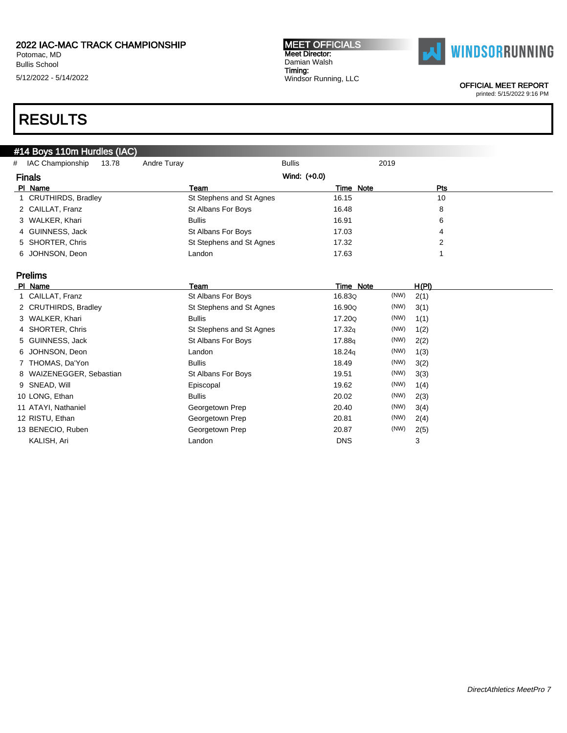Potomac, MD Bullis School 5/12/2022 - 5/14/2022 MEET OFFICIALS Meet Director: Damian Walsh Timing: Windsor Running, LLC



OFFICIAL MEET REPORT

printed: 5/15/2022 9:16 PM

# RESULTS

### #14 Boys 110m Hurdles (IAC)

| # | IAC Championship     | 13.78 | Andre Turay   | <b>Bullis</b>            |           | 2019       |  |
|---|----------------------|-------|---------------|--------------------------|-----------|------------|--|
|   | <b>Finals</b>        |       |               | Wind: (+0.0)             |           |            |  |
|   | PI Name              |       | Team          |                          | Time Note | <b>Pts</b> |  |
|   | 1 CRUTHIRDS, Bradley |       |               | St Stephens and St Agnes | 16.15     | 10         |  |
|   | 2 CAILLAT, Franz     |       |               | St Albans For Boys       | 16.48     | 8          |  |
|   | 3 WALKER, Khari      |       | <b>Bullis</b> |                          | 16.91     | 6          |  |
|   | 4 GUINNESS, Jack     |       |               | St Albans For Boys       | 17.03     | 4          |  |
|   | 5 SHORTER, Chris     |       |               | St Stephens and St Agnes | 17.32     |            |  |
|   | 6 JOHNSON, Deon      |       | Landon        |                          | 17.63     |            |  |

### Prelims

| PI Name                  | Team                     | Time Note          |      | H(PI) |
|--------------------------|--------------------------|--------------------|------|-------|
| 1 CAILLAT, Franz         | St Albans For Boys       | 16.83Q             | (NW) | 2(1)  |
| 2 CRUTHIRDS, Bradley     | St Stephens and St Agnes | 16.90Q             | (NW) | 3(1)  |
| 3 WALKER, Khari          | <b>Bullis</b>            | 17.200             | (NW) | 1(1)  |
| 4 SHORTER, Chris         | St Stephens and St Agnes | 17.32q             | (NW) | 1(2)  |
| 5 GUINNESS, Jack         | St Albans For Boys       | 17.88 <sub>9</sub> | (NW) | 2(2)  |
| 6 JOHNSON, Deon          | Landon                   | 18.24 <sub>g</sub> | (NW) | 1(3)  |
| 7 THOMAS, Da'Yon         | <b>Bullis</b>            | 18.49              | (NW) | 3(2)  |
| 8 WAIZENEGGER, Sebastian | St Albans For Boys       | 19.51              | (NW) | 3(3)  |
| 9 SNEAD, Will            | Episcopal                | 19.62              | (NW) | 1(4)  |
| 10 LONG, Ethan           | <b>Bullis</b>            | 20.02              | (NW) | 2(3)  |
| 11 ATAYI, Nathaniel      | Georgetown Prep          | 20.40              | (NW) | 3(4)  |
| 12 RISTU, Ethan          | Georgetown Prep          | 20.81              | (NW) | 2(4)  |
| 13 BENECIO, Ruben        | Georgetown Prep          | 20.87              | (NW) | 2(5)  |
| KALISH, Ari              | Landon                   | <b>DNS</b>         |      | 3     |
|                          |                          |                    |      |       |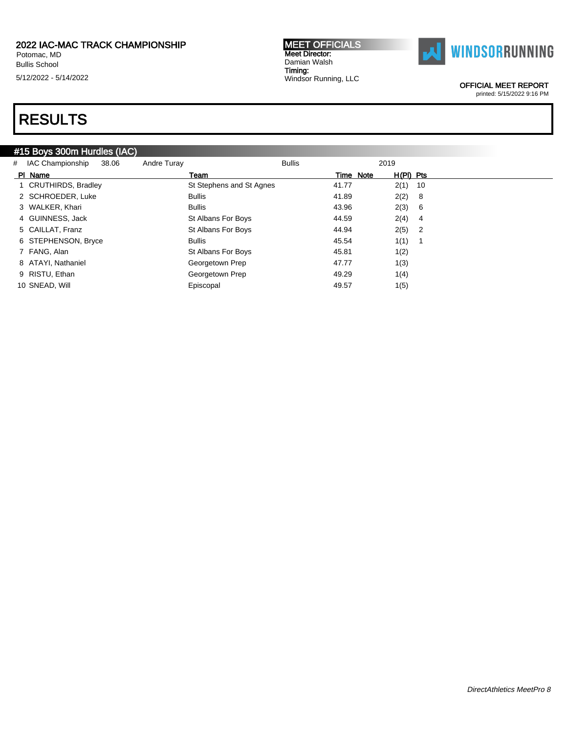Potomac, MD Bullis School 5/12/2022 - 5/14/2022 MEET OFFICIALS Meet Director: Damian Walsh Timing: Windsor Running, LLC



OFFICIAL MEET REPORT

printed: 5/15/2022 9:16 PM

# RESULTS

### #15 Boys 300m Hurdles (IAC)

| PI Name<br>H(PI) Pts<br>Time Note<br>Team<br><b>CRUTHIRDS, Bradley</b><br>St Stephens and St Agnes<br>$2(1)$ 10<br>41.77<br>2 SCHROEDER, Luke<br>41.89<br>2(2) 8<br><b>Bullis</b> |  |
|-----------------------------------------------------------------------------------------------------------------------------------------------------------------------------------|--|
|                                                                                                                                                                                   |  |
|                                                                                                                                                                                   |  |
|                                                                                                                                                                                   |  |
| 2(3) 6<br>3 WALKER, Khari<br>43.96<br><b>Bullis</b>                                                                                                                               |  |
| 4 GUINNESS, Jack<br>$2(4)$ 4<br>44.59<br>St Albans For Boys                                                                                                                       |  |
| $2(5)$ 2<br>St Albans For Boys<br>44.94<br>5 CAILLAT. Franz                                                                                                                       |  |
| 1(1)<br>6 STEPHENSON, Bryce<br>45.54<br><b>Bullis</b>                                                                                                                             |  |
| 7 FANG, Alan<br>45.81<br>1(2)<br>St Albans For Boys                                                                                                                               |  |
| 8 ATAYI, Nathaniel<br>Georgetown Prep<br>47.77<br>1(3)                                                                                                                            |  |
| Georgetown Prep<br>9 RISTU, Ethan<br>49.29<br>1(4)                                                                                                                                |  |
| 10 SNEAD, Will<br>49.57<br>Episcopal<br>1(5)                                                                                                                                      |  |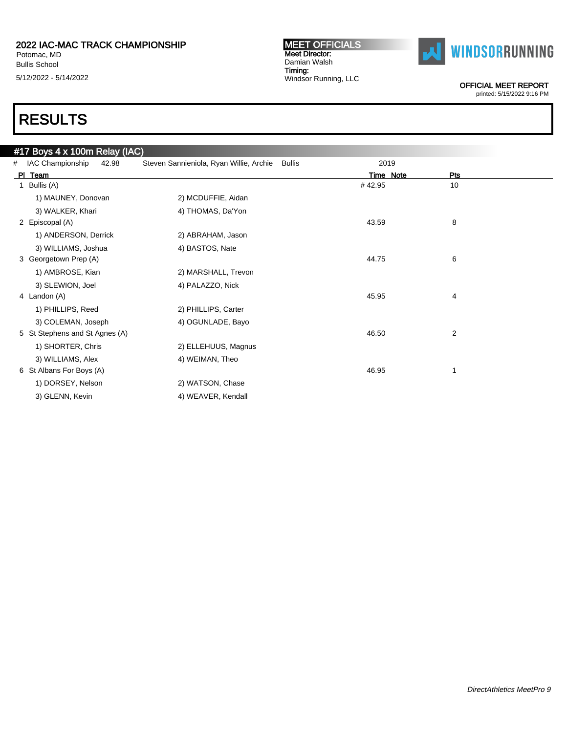Bullis School 5/12/2022 - 5/14/2022

#### MEET OFFICIALS Meet Director: Damian Walsh Timing: Windsor Running, LLC



OFFICIAL MEET REPORT

printed: 5/15/2022 9:16 PM

|   | #17 Boys 4 x 100m Relay (IAC)  |                                         |               |           |                |
|---|--------------------------------|-----------------------------------------|---------------|-----------|----------------|
| # | IAC Championship<br>42.98      | Steven Sannieniola, Ryan Willie, Archie | <b>Bullis</b> | 2019      |                |
|   | PI Team                        |                                         |               | Time Note | Pts            |
| 1 | Bullis (A)                     |                                         |               | #42.95    | 10             |
|   | 1) MAUNEY, Donovan             | 2) MCDUFFIE, Aidan                      |               |           |                |
|   | 3) WALKER, Khari               | 4) THOMAS, Da'Yon                       |               |           |                |
|   | 2 Episcopal (A)                |                                         |               | 43.59     | 8              |
|   | 1) ANDERSON, Derrick           | 2) ABRAHAM, Jason                       |               |           |                |
|   | 3) WILLIAMS, Joshua            | 4) BASTOS, Nate                         |               |           |                |
|   | 3 Georgetown Prep (A)          |                                         |               | 44.75     | 6              |
|   | 1) AMBROSE, Kian               | 2) MARSHALL, Trevon                     |               |           |                |
|   | 3) SLEWION, Joel               | 4) PALAZZO, Nick                        |               |           |                |
|   | 4 Landon (A)                   |                                         |               | 45.95     | 4              |
|   | 1) PHILLIPS, Reed              | 2) PHILLIPS, Carter                     |               |           |                |
|   | 3) COLEMAN, Joseph             | 4) OGUNLADE, Bayo                       |               |           |                |
|   | 5 St Stephens and St Agnes (A) |                                         |               | 46.50     | $\overline{2}$ |
|   | 1) SHORTER, Chris              | 2) ELLEHUUS, Magnus                     |               |           |                |
|   | 3) WILLIAMS, Alex              | 4) WEIMAN, Theo                         |               |           |                |
|   | 6 St Albans For Boys (A)       |                                         |               | 46.95     |                |
|   | 1) DORSEY, Nelson              | 2) WATSON, Chase                        |               |           |                |
|   | 3) GLENN, Kevin                | 4) WEAVER, Kendall                      |               |           |                |
|   |                                |                                         |               |           |                |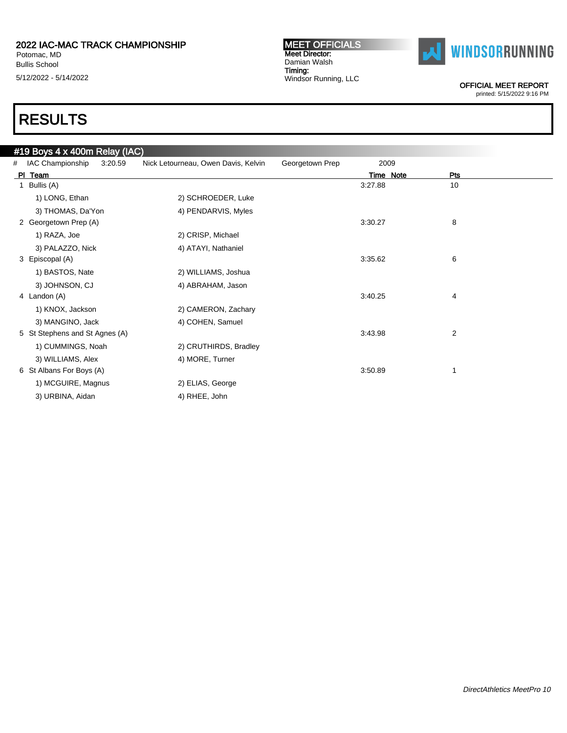Bullis School 5/12/2022 - 5/14/2022

#### MEET OFFICIALS Meet Director: Damian Walsh Timing: Windsor Running, LLC



OFFICIAL MEET REPORT

printed: 5/15/2022 9:16 PM

|   | #19 Boys 4 x 400m Relay (IAC)  |         |                                     |                 |           |     |
|---|--------------------------------|---------|-------------------------------------|-----------------|-----------|-----|
| # | IAC Championship               | 3:20.59 | Nick Letourneau, Owen Davis, Kelvin | Georgetown Prep | 2009      |     |
|   | PI Team                        |         |                                     |                 | Time Note | Pts |
| 1 | Bullis (A)                     |         |                                     |                 | 3:27.88   | 10  |
|   | 1) LONG, Ethan                 |         | 2) SCHROEDER, Luke                  |                 |           |     |
|   | 3) THOMAS, Da'Yon              |         | 4) PENDARVIS, Myles                 |                 |           |     |
|   | 2 Georgetown Prep (A)          |         |                                     |                 | 3:30.27   | 8   |
|   | 1) RAZA, Joe                   |         | 2) CRISP, Michael                   |                 |           |     |
|   | 3) PALAZZO, Nick               |         | 4) ATAYI, Nathaniel                 |                 |           |     |
|   | 3 Episcopal (A)                |         |                                     |                 | 3:35.62   | 6   |
|   | 1) BASTOS, Nate                |         | 2) WILLIAMS, Joshua                 |                 |           |     |
|   | 3) JOHNSON, CJ                 |         | 4) ABRAHAM, Jason                   |                 |           |     |
|   | 4 Landon (A)                   |         |                                     |                 | 3:40.25   | 4   |
|   | 1) KNOX, Jackson               |         | 2) CAMERON, Zachary                 |                 |           |     |
|   | 3) MANGINO, Jack               |         | 4) COHEN, Samuel                    |                 |           |     |
|   | 5 St Stephens and St Agnes (A) |         |                                     |                 | 3:43.98   | 2   |
|   | 1) CUMMINGS, Noah              |         | 2) CRUTHIRDS, Bradley               |                 |           |     |
|   | 3) WILLIAMS, Alex              |         | 4) MORE, Turner                     |                 |           |     |
|   | 6 St Albans For Boys (A)       |         |                                     |                 | 3:50.89   |     |
|   | 1) MCGUIRE, Magnus             |         | 2) ELIAS, George                    |                 |           |     |
|   | 3) URBINA, Aidan               |         | 4) RHEE, John                       |                 |           |     |
|   |                                |         |                                     |                 |           |     |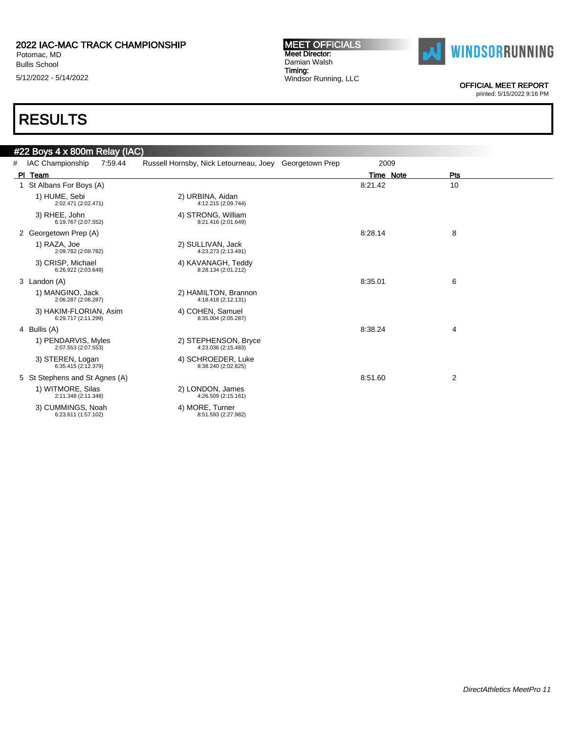Bullis School 5/12/2022 - 5/14/2022

#### MEET OFFICIALS Meet Director: Damian Walsh Timing: Windsor Running, LLC



OFFICIAL MEET REPORT

printed: 5/15/2022 9:16 PM

|   | #22 Boys 4 x 800m Relay (IAC)                 |                                                        |           |                |
|---|-----------------------------------------------|--------------------------------------------------------|-----------|----------------|
| # | IAC Championship<br>7:59.44                   | Russell Hornsby, Nick Letourneau, Joey Georgetown Prep | 2009      |                |
|   | PI Team                                       |                                                        | Time Note | Pts            |
|   | 1 St Albans For Boys (A)                      |                                                        | 8:21.42   | 10             |
|   | 1) HUME, Sebi<br>2:02.471 (2:02.471)          | 2) URBINA, Aidan<br>4:12.215 (2:09.744)                |           |                |
|   | 3) RHEE, John<br>6:19.767 (2:07.552)          | 4) STRONG, William<br>8:21.416 (2:01.649)              |           |                |
|   | 2 Georgetown Prep (A)                         |                                                        | 8:28.14   | 8              |
|   | 1) RAZA, Joe<br>2:09.782 (2:09.782)           | 2) SULLIVAN, Jack<br>4:23.273 (2:13.491)               |           |                |
|   | 3) CRISP, Michael<br>6:26.922 (2:03.649)      | 4) KAVANAGH, Teddy<br>8:28.134 (2:01.212)              |           |                |
|   | 3 Landon (A)                                  |                                                        | 8:35.01   | 6              |
|   | 1) MANGINO, Jack<br>2:06.287 (2:06.287)       | 2) HAMILTON, Brannon<br>4:18.418 (2:12.131)            |           |                |
|   | 3) HAKIM-FLORIAN, Asim<br>6:29.717 (2:11.299) | 4) COHEN, Samuel<br>8:35.004 (2:05.287)                |           |                |
|   | 4 Bullis (A)                                  |                                                        | 8:38.24   | 4              |
|   | 1) PENDARVIS, Myles<br>2:07.553 (2:07.553)    | 2) STEPHENSON, Bryce<br>4:23.036 (2:15.483)            |           |                |
|   | 3) STEREN, Logan<br>6:35.415 (2:12.379)       | 4) SCHROEDER, Luke<br>8:38.240 (2:02.825)              |           |                |
|   | 5 St Stephens and St Agnes (A)                |                                                        | 8:51.60   | $\overline{2}$ |
|   | 1) WITMORE, Silas<br>2:11.348 (2:11.348)      | 2) LONDON, James<br>4:26.509 (2:15.161)                |           |                |
|   | 3) CUMMINGS, Noah<br>6:23.611 (1:57.102)      | 4) MORE, Turner<br>8:51.593 (2:27.982)                 |           |                |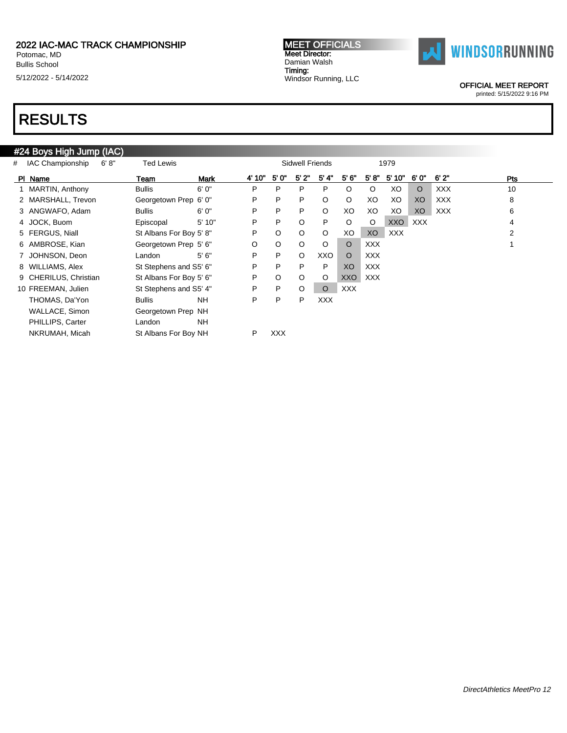Potomac, MD Bullis School 5/12/2022 - 5/14/2022

#### MEET OFFICIALS Meet Director: Damian Walsh Timing: Windsor Running, LLC



OFFICIAL MEET REPORT

printed: 5/15/2022 9:16 PM

# RESULTS

### #24 Boys High Jump (IAC)

| # | 6' 8''<br>IAC Championship | Ted Lewis               |             |        |            | Sidwell Friends |            |            |            | 1979  |         |            |     |
|---|----------------------------|-------------------------|-------------|--------|------------|-----------------|------------|------------|------------|-------|---------|------------|-----|
|   | PI Name                    | Team                    | <b>Mark</b> | 4' 10" | 5' 0"      | 5' 2"           | 5' 4"      | 5'6''      | 5' 8''     | 5'10" | 6'0"    | 6'2"       | Pts |
|   | 1 MARTIN, Anthony          | <b>Bullis</b>           | 6' 0"       | P      | P          | P               | P          | $\circ$    | $\circ$    | XO    | $\circ$ | <b>XXX</b> | 10  |
|   | 2 MARSHALL, Trevon         | Georgetown Prep 6' 0"   |             | P      | P          | P               | O          | $\circ$    | XO         | XO    | XO      | <b>XXX</b> | 8   |
|   | 3 ANGWAFO, Adam            | <b>Bullis</b>           | 6'0''       | P      | P          | P               | $\circ$    | XO         | XO         | XO    | XO      | <b>XXX</b> | 6   |
|   | 4 JOCK, Buom               | Episcopal               | 5' 10"      | P      | P          | O               | P          | $\circ$    | $\circ$    | XXO   | XXX     |            | 4   |
|   | 5 FERGUS, Niall            | St Albans For Boy 5' 8" |             | P      | $\circ$    | $\circ$         | $\circ$    | XO         | XO         | XXX   |         |            | 2   |
|   | 6 AMBROSE, Kian            | Georgetown Prep 5' 6"   |             | O      | O          | $\circ$         | O          | $\circ$    | <b>XXX</b> |       |         |            |     |
|   | 7 JOHNSON, Deon            | Landon                  | 5'6''       | P      | P          | $\circ$         | XXO        | $\circ$    | <b>XXX</b> |       |         |            |     |
|   | 8 WILLIAMS, Alex           | St Stephens and S5' 6"  |             | P      | P          | P               | P          | XO         | XXX        |       |         |            |     |
|   | 9 CHERILUS, Christian      | St Albans For Boy 5' 6" |             | P      | O          | O               | O          | <b>XXO</b> | <b>XXX</b> |       |         |            |     |
|   | 10 FREEMAN, Julien         | St Stephens and S5' 4"  |             | P      | P          | $\circ$         | $\circ$    | <b>XXX</b> |            |       |         |            |     |
|   | THOMAS, Da'Yon             | <b>Bullis</b>           | <b>NH</b>   | P      | P          | P               | <b>XXX</b> |            |            |       |         |            |     |
|   | WALLACE, Simon             | Georgetown Prep NH      |             |        |            |                 |            |            |            |       |         |            |     |
|   | PHILLIPS, Carter           | Landon                  | <b>NH</b>   |        |            |                 |            |            |            |       |         |            |     |
|   | NKRUMAH, Micah             | St Albans For Boy NH    |             | P      | <b>XXX</b> |                 |            |            |            |       |         |            |     |
|   |                            |                         |             |        |            |                 |            |            |            |       |         |            |     |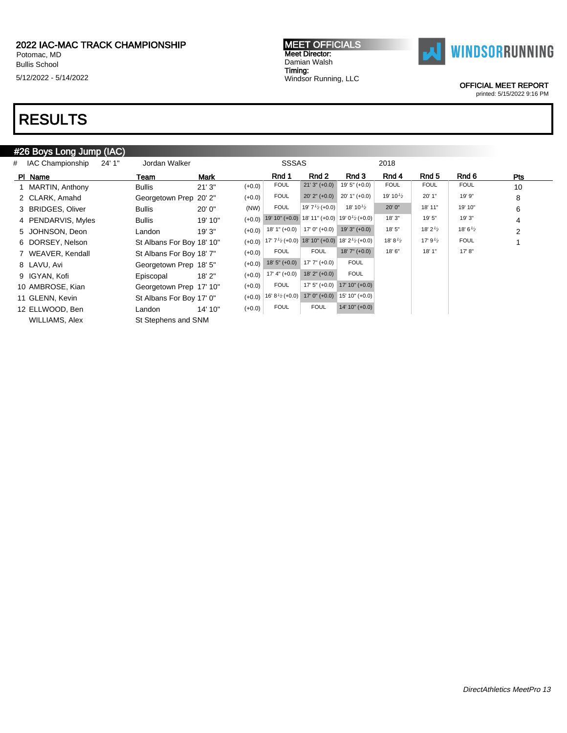Potomac, MD Bullis School 5/12/2022 - 5/14/2022 MEET OFFICIALS Meet Director: Damian Walsh Timing: Windsor Running, LLC



OFFICIAL MEET REPORT

printed: 5/15/2022 9:16 PM

# RESULTS

### #26 Boys Long Jump (IAC)

| # IAC Championship | 24' 1" | Jordan Walker             |             | <b>SSSAS</b>                                                                                              |                           |                                                          | 2018                 |                    |                     |     |
|--------------------|--------|---------------------------|-------------|-----------------------------------------------------------------------------------------------------------|---------------------------|----------------------------------------------------------|----------------------|--------------------|---------------------|-----|
| PI Name            |        | Team                      | <b>Mark</b> | Rnd 1                                                                                                     | Rnd 2                     | Rnd 3                                                    | Rnd 4                | Rnd 5              | Rnd 6               | Pts |
| 1 MARTIN, Anthony  |        | <b>Bullis</b>             | 21'3''      | <b>FOUL</b><br>$(+0.0)$                                                                                   | $21'3'' (+0.0)$           | $19'5'' (+0.0)$                                          | <b>FOUL</b>          | <b>FOUL</b>        | <b>FOUL</b>         | 10  |
| 2 CLARK, Amahd     |        | Georgetown Prep 20' 2"    |             | <b>FOUL</b><br>$(+0.0)$                                                                                   | $20'$ 2" $(+0.0)$         | $20'$ 1" $(+0.0)$                                        | 19' 10 $\frac{1}{2}$ | 20' 1"             | 19' 9"              | 8   |
| 3 BRIDGES, Oliver  |        | <b>Bullis</b>             | 20'0''      | <b>FOUL</b><br>(NW)                                                                                       | 19' $7\frac{1}{2}$ (+0.0) | 18' 10 $\frac{1}{2}$                                     | 20' 0"               | 18' 11"            | 19' 10"             | 6   |
| 4 PENDARVIS, Myles |        | <b>Bullis</b>             | 19' 10"     | $(+0.0)$                                                                                                  |                           | 19' 10" (+0.0) 18' 11" (+0.0) 19' 0 $\frac{1}{2}$ (+0.0) | 18' 3"               | 19' 5"             | 19' 3"              | 4   |
| 5 JOHNSON, Deon    |        | Landon                    | 19'3"       | $18'1'' (+0.0)$<br>$(+0.0)$                                                                               | $17'0'' (+0.0)$           | $19'3'' (+0.0)$                                          | 18' 5"               | 18' $2\frac{1}{2}$ | 18' 6 $\frac{1}{2}$ | 2   |
| 6 DORSEY, Nelson   |        | St Albans For Boy 18' 10" |             | $(+0.0)$ 17' 7 <sup>1</sup> / <sub>2</sub> (+0.0) 18' 10" (+0.0) 18' 2 <sup>1</sup> / <sub>2</sub> (+0.0) |                           |                                                          | 18' 8 $\frac{1}{2}$  | 17' $9\frac{1}{2}$ | <b>FOUL</b>         | 1   |
| 7 WEAVER, Kendall  |        | St Albans For Boy 18' 7"  |             | <b>FOUL</b><br>$(+0.0)$                                                                                   | <b>FOUL</b>               | $18'7'' (+0.0)$                                          | 18' 6"               | 18' 1"             | 17' 8''             |     |
| 8 LAVU, Avi        |        | Georgetown Prep 18' 5"    |             | $18'5'' (+0.0)$<br>$(+0.0)$                                                                               | $17'7'' (+0.0)$           | <b>FOUL</b>                                              |                      |                    |                     |     |
| 9 IGYAN, Kofi      |        | Episcopal                 | 18'2"       | $17' 4'' (+0.0)$<br>$(+0.0)$                                                                              | $18'$ 2" $(+0.0)$         | <b>FOUL</b>                                              |                      |                    |                     |     |
| 10 AMBROSE, Kian   |        | Georgetown Prep 17' 10"   |             | <b>FOUL</b><br>$(+0.0)$                                                                                   | $17' 5'' (+0.0)$          | $17' 10'' (+0.0)$                                        |                      |                    |                     |     |
| 11 GLENN, Kevin    |        | St Albans For Boy 17' 0"  |             | $16' 8'2(+0.0)$<br>$(+0.0)$                                                                               | $17'0'' (+0.0)$           | 15' 10" (+0.0)                                           |                      |                    |                     |     |
| 12 ELLWOOD, Ben    |        | Landon                    | 14' 10"     | <b>FOUL</b><br>$(+0.0)$                                                                                   | <b>FOUL</b>               | $14' 10'' (+0.0)$                                        |                      |                    |                     |     |
| WILLIAMS, Alex     |        | St Stephens and SNM       |             |                                                                                                           |                           |                                                          |                      |                    |                     |     |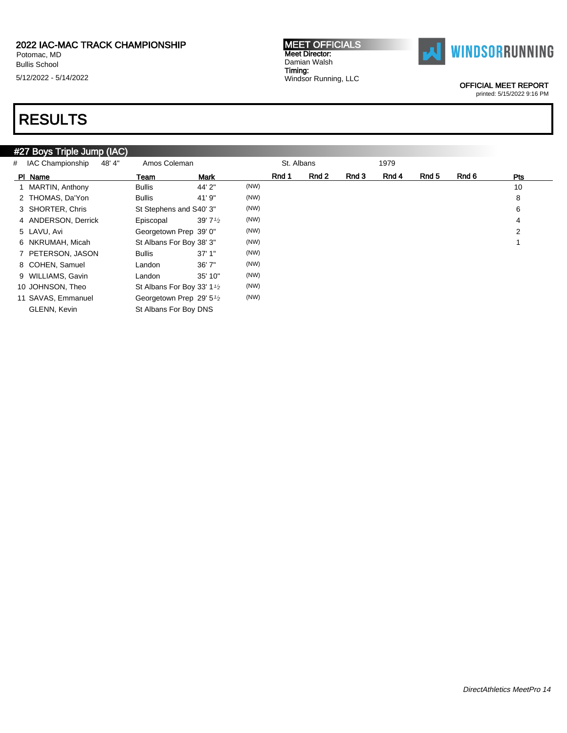Potomac, MD Bullis School 5/12/2022 - 5/14/2022

# RESULTS

### #27 Boys Triple Jump (IAC)

| # IAC Championship<br>48'4" | Amos Coleman                                        |                    |      | St. Albans |       |       | 1979  |       |       |     |
|-----------------------------|-----------------------------------------------------|--------------------|------|------------|-------|-------|-------|-------|-------|-----|
| PI Name                     | Team                                                | <b>Mark</b>        |      | Rnd 1      | Rnd 2 | Rnd 3 | Rnd 4 | Rnd 5 | Rnd 6 | Pts |
| 1 MARTIN, Anthony           | <b>Bullis</b>                                       | 44' 2"             | (NW) |            |       |       |       |       |       | 10  |
| 2 THOMAS, Da'Yon            | <b>Bullis</b>                                       | 41' 9"             | (NW) |            |       |       |       |       |       | 8   |
| 3 SHORTER, Chris            | St Stephens and S40' 3"                             |                    | (NW) |            |       |       |       |       |       | 6   |
| 4 ANDERSON, Derrick         | Episcopal                                           | 39' $7\frac{1}{2}$ | (NW) |            |       |       |       |       |       | 4   |
| 5 LAVU, Avi                 | Georgetown Prep 39' 0"                              |                    | (NW) |            |       |       |       |       |       | 2   |
| 6 NKRUMAH, Micah            | St Albans For Boy 38' 3"                            |                    | (NW) |            |       |       |       |       |       |     |
| 7 PETERSON, JASON           | <b>Bullis</b>                                       | 37'1''             | (NW) |            |       |       |       |       |       |     |
| 8 COHEN, Samuel             | Landon                                              | 36'7''             | (NW) |            |       |       |       |       |       |     |
| 9 WILLIAMS, Gavin           | Landon                                              | 35' 10"            | (NW) |            |       |       |       |       |       |     |
| 10 JOHNSON, Theo            | St Albans For Boy 33' 1 <sup>1</sup> / <sub>2</sub> |                    | (NW) |            |       |       |       |       |       |     |
| 11 SAVAS, Emmanuel          | Georgetown Prep 29' 5 <sup>1</sup> / <sub>2</sub>   |                    | (NW) |            |       |       |       |       |       |     |
| <b>GLENN.</b> Kevin         | St Albans For Boy DNS                               |                    |      |            |       |       |       |       |       |     |

MEET OFFICIALS Meet Director: Damian Walsh Timing: Windsor Running, LLC



OFFICIAL MEET REPORT

printed: 5/15/2022 9:16 PM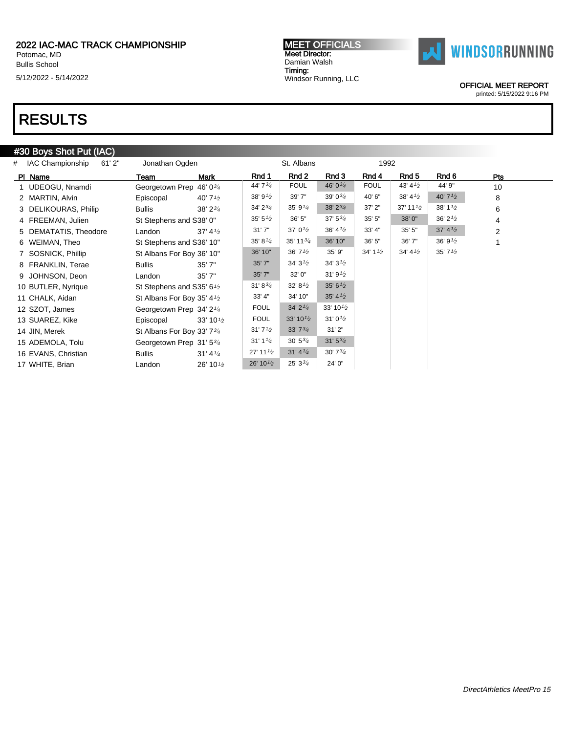Potomac, MD Bullis School 5/12/2022 - 5/14/2022 MEET OFFICIALS Meet Director: Damian Walsh Timing: Windsor Running, LLC



OFFICIAL MEET REPORT

#### printed: 5/15/2022 9:16 PM

## RESULTS

### #30 Boys Shot Put (IAC)

| 61'2"<br># IAC Championship | Jonathan Ogden                                      |                                    |                                   | St. Albans                          |                                   | 1992               |                        |                                   |                |
|-----------------------------|-----------------------------------------------------|------------------------------------|-----------------------------------|-------------------------------------|-----------------------------------|--------------------|------------------------|-----------------------------------|----------------|
| PI Name                     | Team                                                | Mark                               | Rnd 1                             | Rnd 2                               | Rnd 3                             | Rnd 4              | Rnd 5                  | Rnd 6                             | <b>Pts</b>     |
| 1 UDEOGU, Nnamdi            | Georgetown Prep 46' 034                             |                                    | 44' 73/4                          | <b>FOUL</b>                         | 46' 03/4                          | <b>FOUL</b>        | 43' $4^{1/2}$          | 44' 9"                            | 10             |
| 2 MARTIN, Alvin             | Episcopal                                           | 40' $7\frac{1}{2}$                 | 38'9'2                            | 39' 7"                              | $39'0^{3/4}$                      | 40' 6"             | $38' 4\frac{1}{2}$     | 40' $7\frac{1}{2}$                | 8              |
| 3 DELIKOURAS, Philip        | Bullis                                              | 38' 2 <sup>3</sup> / <sub>4</sub>  | 34' 2 <sup>3</sup> / <sub>4</sub> | 35' 9'4                             | 38' 2 <sup>3</sup> / <sub>4</sub> | 37' 2"             | $37'$ 11 $\frac{1}{2}$ | 38' $1\frac{1}{2}$                | 6              |
| 4 FREEMAN, Julien           | St Stephens and S38' 0"                             |                                    | 35' 5'2                           | 36' 5"                              | $37' 5\frac{3}{4}$                | 35' 5"             | 38' 0"                 | $36'$ 2 $\frac{1}{2}$             | 4              |
| 5 DEMATATIS, Theodore       | Landon                                              | $37' 4\frac{1}{2}$                 | 31'7''                            | 37' 0 $\frac{1}{2}$                 | 36' 4 <sup>1</sup> / <sub>2</sub> | 33' 4"             | 35'5''                 | 37' 4 <sup>1</sup> / <sub>2</sub> | $\overline{2}$ |
| 6 WEIMAN, Theo              | St Stephens and S36' 10"                            |                                    | 35' 8'4                           | 35' 11 $\frac{3}{4}$                | 36' 10"                           | 36' 5"             | 36' 7"                 | 36' 9'2                           |                |
| 7 SOSNICK, Phillip          | St Albans For Boy 36' 10"                           |                                    | 36' 10"                           | 36'7'2                              | 35' 9"                            | 34' $1\frac{1}{2}$ | 34' 4'2                | 35'7'2                            |                |
| 8 FRANKLIN, Terae           | <b>Bullis</b>                                       | 35'7''                             | 35'7''                            | 34'3'2                              | 34'3'2                            |                    |                        |                                   |                |
| 9 JOHNSON, Deon             | Landon                                              | 35'7''                             | 35'7''                            | 32' 0"                              | 31'9'2                            |                    |                        |                                   |                |
| 10 BUTLER, Nyrique          | St Stephens and S35' 6 <sup>1</sup> / <sub>2</sub>  |                                    | 31' 8 <sup>3</sup> / <sub>4</sub> | 32' 8'2                             | 35' 6'2                           |                    |                        |                                   |                |
| 11 CHALK, Aidan             | St Albans For Boy 35' 4 <sup>1</sup> / <sub>2</sub> |                                    | 33' 4"                            | 34' 10"                             | 35' 4 <sup>1</sup> / <sub>2</sub> |                    |                        |                                   |                |
| 12 SZOT, James              | Georgetown Prep 34' 2 <sup>1/4</sup>                |                                    | <b>FOUL</b>                       | $34'$ 2 <sup><math>1/4</math></sup> | 33' 10 $\frac{1}{2}$              |                    |                        |                                   |                |
| 13 SUAREZ, Kike             | Episcopal                                           | 33' 10 $\frac{1}{2}$               | <b>FOUL</b>                       | 33' 10 $\frac{1}{2}$                | $31'0\frac{1}{2}$                 |                    |                        |                                   |                |
| 14 JIN, Merek               | St Albans For Boy 33' 734                           |                                    | 31'7'2                            | 33'73/4                             | 31'2"                             |                    |                        |                                   |                |
| 15 ADEMOLA, Tolu            | Georgetown Prep 31' 5 <sup>3/4</sup>                |                                    | 31'11/4                           | $30' 5\frac{3}{4}$                  | 31'53/4                           |                    |                        |                                   |                |
| 16 EVANS, Christian         | <b>Bullis</b>                                       | $31' 4\frac{1}{4}$                 | $27'$ 11 $\frac{1}{2}$            | 31' 4 <sup>1</sup> / <sub>4</sub>   | 30'73/4                           |                    |                        |                                   |                |
| 17 WHITE, Brian             | Landon                                              | 26' 10 <sup>1</sup> / <sub>2</sub> | 26' 10 $\frac{1}{2}$              | $25'3^{3}/4$                        | 24' 0"                            |                    |                        |                                   |                |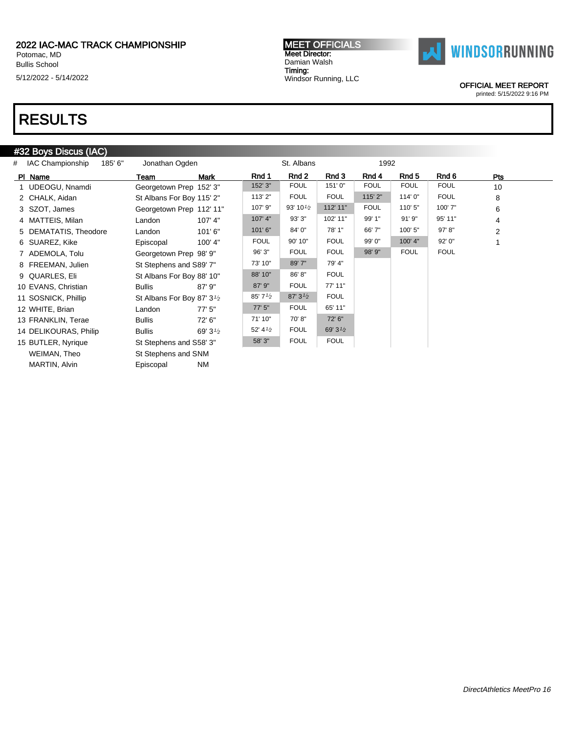Potomac, MD Bullis School

5/12/2022 - 5/14/2022

#### MEET OFFICIALS Meet Director: Damian Walsh Timing: Windsor Running, LLC



OFFICIAL MEET REPORT

printed: 5/15/2022 9:16 PM

# RESULTS

### #32 Boys Discus (IAC)

| 185' 6"<br># IAC Championship | Jonathan Ogden                          |                    |                    | St. Albans           |               | 1992        |             |             |                |  |
|-------------------------------|-----------------------------------------|--------------------|--------------------|----------------------|---------------|-------------|-------------|-------------|----------------|--|
| PI Name                       | Team                                    | Mark               | Rnd 1              | Rnd 2                | Rnd 3         | Rnd 4       | Rnd 5       | Rnd 6       | Pts            |  |
| 1 UDEOGU, Nnamdi              | Georgetown Prep 152' 3"                 |                    | 152' 3"            | <b>FOUL</b>          | 151'0"        | <b>FOUL</b> | <b>FOUL</b> | <b>FOUL</b> | 10             |  |
| 2 CHALK, Aidan                | St Albans For Boy 115' 2"               |                    | 113' 2"            | <b>FOUL</b>          | <b>FOUL</b>   | 115' 2"     | 114'0"      | <b>FOUL</b> | 8              |  |
| 3 SZOT, James                 | Georgetown Prep 112' 11"                |                    | 107' 9"            | 93' 10 $\frac{1}{2}$ | 112' 11"      | <b>FOUL</b> | 110'5"      | 100' 7"     | 6              |  |
| 4 MATTEIS, Milan              | Landon                                  | 107' 4"            | 107' 4"            | 93' 3"               | 102' 11"      | 99' 1"      | 91'9''      | 95' 11"     | 4              |  |
| 5 DEMATATIS, Theodore         | Landon                                  | 101'6"             | 101'6''            | 84' 0"               | 78' 1"        | 66' 7"      | 100' 5"     | 97' 8"      | $\overline{2}$ |  |
| 6 SUAREZ, Kike                | Episcopal                               | 100' 4"            | <b>FOUL</b>        | 90' 10"              | <b>FOUL</b>   | 99' 0"      | 100' 4"     | 92' 0"      |                |  |
| 7 ADEMOLA, Tolu               | Georgetown Prep 98' 9"                  |                    | 96' 3"             | <b>FOUL</b>          | <b>FOUL</b>   | 98' 9"      | <b>FOUL</b> | <b>FOUL</b> |                |  |
| 8 FREEMAN, Julien             | St Stephens and S89' 7"                 |                    | 73' 10"            | 89' 7"               | 79' 4"        |             |             |             |                |  |
| 9 QUARLES, Eli                | St Albans For Boy 88' 10"               |                    | 88' 10"            | 86'8"                | <b>FOUL</b>   |             |             |             |                |  |
| 10 EVANS, Christian           | <b>Bullis</b>                           | $87'$ 9"           | 87' 9"             | <b>FOUL</b>          | 77' 11"       |             |             |             |                |  |
| 11 SOSNICK, Phillip           | St Albans For Boy 87' 3 <sup>1</sup> /2 |                    | 85'7'2             | 87'3'2               | <b>FOUL</b>   |             |             |             |                |  |
| 12 WHITE, Brian               | Landon                                  | 77'5''             | 77'5''             | <b>FOUL</b>          | 65' 11"       |             |             |             |                |  |
| 13 FRANKLIN, Terae            | <b>Bullis</b>                           | 72' 6"             | 71' 10"            | 70'8"                | 72' 6"        |             |             |             |                |  |
| 14 DELIKOURAS, Philip         | <b>Bullis</b>                           | 69' $3\frac{1}{2}$ | 52' $4\frac{1}{2}$ | <b>FOUL</b>          | 69' $3^{1/2}$ |             |             |             |                |  |
| 15 BUTLER, Nyrique            | St Stephens and S58' 3"                 |                    | 58' 3"             | <b>FOUL</b>          | <b>FOUL</b>   |             |             |             |                |  |
| WEIMAN, Theo                  | St Stephens and SNM                     |                    |                    |                      |               |             |             |             |                |  |

MARTIN, Alvin **Episcopal** NM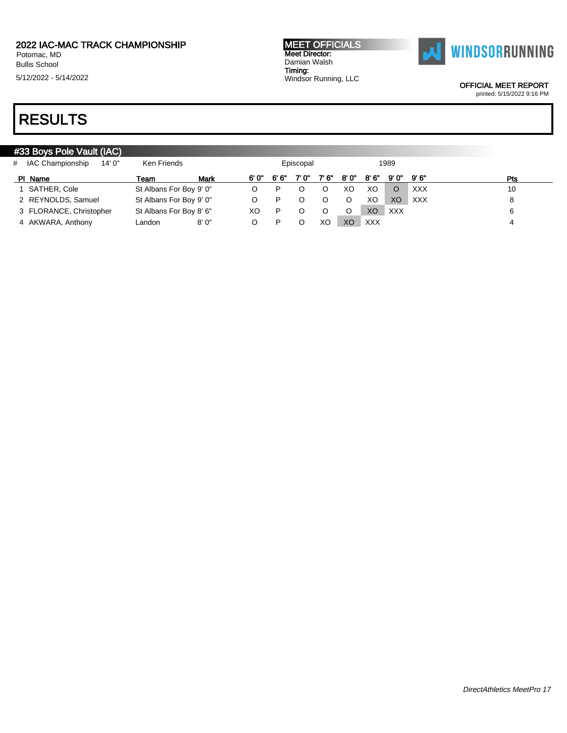Bullis School

5/12/2022 - 5/14/2022

# RESULTS

| <b>MEET OFFICIALS</b> |
|-----------------------|
| <b>Meet Director:</b> |
| Damian Walsh          |
| Timing:               |
| Windsor Running, LLC  |



OFFICIAL MEET REPORT

printed: 5/15/2022 9:16 PM

### #33 Boys Pole Vault (IAC) # IAC Championship 14' 0" Ken Friends Episcopal 1989 Pl Name Team Mark 6' 0" 6' 6" 7' 0" 7' 6" 8' 0" 8' 6" 9' 0" 9' 6" Pts 1 SATHER, Cole St Albans For Boy 9' 0" O P O O XO XO O XXX 10 10 2 REYNOLDS, Samuel St Albans For Boy 9' 0" O P O O O XO XO XXX 8 3 FLORANCE, Christopher St Albans For Boy 8' 6" XO P O O O XO XXX 66 4 AKWARA, Anthony Landon 8' 0" O P O XO XO XXX 4